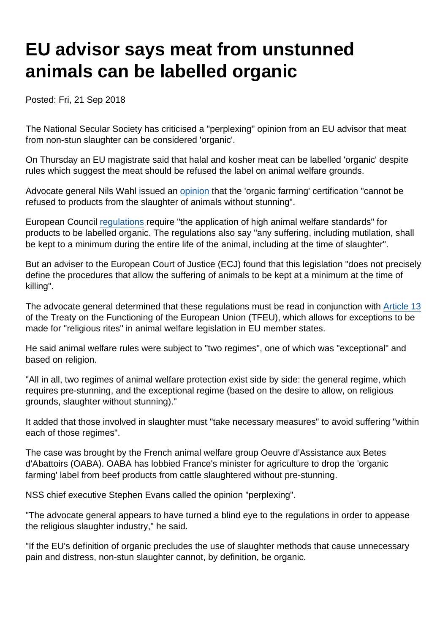## EU advisor says meat from unstunned animals can be labelled organic

Posted: Fri, 21 Sep 2018

The National Secular Society has criticised a "perplexing" opinion from an EU advisor that meat from non-stun slaughter can be considered 'organic'.

On Thursday an EU magistrate said that halal and kosher meat can be labelled 'organic' despite rules which suggest the meat should be refused the label on animal welfare grounds.

Advocate general Nils Wahl [i](https://www.courthousenews.com/wp-content/uploads/2018/09/slaughter.pdf)ssued an [opinion](https://www.courthousenews.com/wp-content/uploads/2018/09/slaughter.pdf) that the 'organic farming' certification "cannot be refused to products from the slaughter of animals without stunning".

European Council [regulations](https://eur-lex.europa.eu/legal-content/EN/TXT/PDF/?uri=CELEX:32007R0834&rid=6) require "the application of high animal welfare standards" for products to be labelled organic. The regulations also say "any suffering, including mutilation, shall be kept to a minimum during the entire life of the animal, including at the time of slaughter".

But an adviser to the European Court of Justice (ECJ) found that this legislation "does not precisely define the procedures that allow the suffering of animals to be kept at a minimum at the time of killing".

The advocate general determined that these regulations must be read in conjunction with [Article 13](https://ec.europa.eu/food/animals/welfare_en) of the Treaty on the Functioning of the European Union (TFEU), which allows for exceptions to be made for "religious rites" in animal welfare legislation in EU member states.

He said animal welfare rules were subject to "two regimes", one of which was "exceptional" and based on religion.

"All in all, two regimes of animal welfare protection exist side by side: the general regime, which requires pre-stunning, and the exceptional regime (based on the desire to allow, on religious grounds, slaughter without stunning)."

It added that those involved in slaughter must "take necessary measures" to avoid suffering "within each of those regimes".

The case was brought by the French animal welfare group Oeuvre d'Assistance aux Betes d'Abattoirs (OABA). OABA has lobbied France's minister for agriculture to drop the 'organic farming' label from beef products from cattle slaughtered without pre-stunning.

NSS chief executive Stephen Evans called the opinion "perplexing".

"The advocate general appears to have turned a blind eye to the regulations in order to appease the religious slaughter industry," he said.

"If the EU's definition of organic precludes the use of slaughter methods that cause unnecessary pain and distress, non-stun slaughter cannot, by definition, be organic.